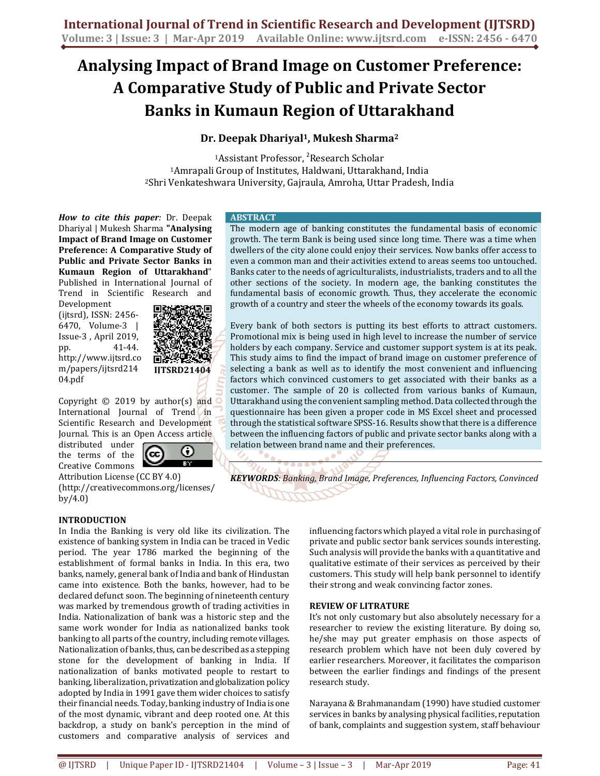# **Analysing Impact of Brand Image on Customer Preference: A Comparative Study of Public and Private Sector Banks in Kumaun Region of Uttarakhand**

# **Dr. Deepak Dhariyal<sup>1</sup>, Mukesh Sharma<sup>2</sup>**

<sup>1</sup>Assistant Professor, <sup>2</sup>Research Scholar <sup>1</sup>Amrapali Group of Institutes, Haldwani, Uttarakhand, India <sup>2</sup>Shri Venkateshwara University, Gajraula, Amroha, Uttar Pradesh, India

*How to cite this paper:* Dr. Deepak Dhariyal | Mukesh Sharma **"Analysing Impact of Brand Image on Customer Preference: A Comparative Study of Public and Private Sector Banks in Kumaun Region of Uttarakhand**" Published in International Journal of Trend in Scientific Research and

Development (ijtsrd), ISSN: 2456- 6470, Volume-3 | Issue-3 , April 2019, pp. 41-44. http://www.ijtsrd.co m/papers/ijtsrd214 04.pdf



Copyright  $©$  2019 by author(s) and International Journal of Trend in Scientific Research and Development Journal. This is an Open Access article

distributed under the terms of the Creative Commons

⊙ (cc)

Attribution License (CC BY 4.0) (http://creativecommons.org/licenses/ by/4.0)

# **INTRODUCTION**

In India the Banking is very old like its civilization. The existence of banking system in India can be traced in Vedic period. The year 1786 marked the beginning of the establishment of formal banks in India. In this era, two banks, namely, general bank of India and bank of Hindustan came into existence. Both the banks, however, had to be declared defunct soon. The beginning of nineteenth century was marked by tremendous growth of trading activities in India. Nationalization of bank was a historic step and the same work wonder for India as nationalized banks took banking to all parts of the country, including remote villages. Nationalization of banks, thus, can be described as a stepping stone for the development of banking in India. If nationalization of banks motivated people to restart to banking, liberalization, privatization and globalization policy adopted by India in 1991 gave them wider choices to satisfy their financial needs. Today, banking industry of India is one of the most dynamic, vibrant and deep rooted one. At this backdrop, a study on bank's perception in the mind of customers and comparative analysis of services and

#### **ABSTRACT**

The modern age of banking constitutes the fundamental basis of economic growth. The term Bank is being used since long time. There was a time when dwellers of the city alone could enjoy their services. Now banks offer access to even a common man and their activities extend to areas seems too untouched. Banks cater to the needs of agriculturalists, industrialists, traders and to all the other sections of the society. In modern age, the banking constitutes the fundamental basis of economic growth. Thus, they accelerate the economic growth of a country and steer the wheels of the economy towards its goals.

Every bank of both sectors is putting its best efforts to attract customers. Promotional mix is being used in high level to increase the number of service holders by each company. Service and customer support system is at its peak. This study aims to find the impact of brand image on customer preference of selecting a bank as well as to identify the most convenient and influencing factors which convinced customers to get associated with their banks as a customer. The sample of 20 is collected from various banks of Kumaun, Uttarakhand using the convenient sampling method. Data collected through the questionnaire has been given a proper code in MS Excel sheet and processed through the statistical software SPSS-16. Results show that there is a difference between the influencing factors of public and private sector banks along with a relation between brand name and their preferences.

*KEYWORDS: Banking, Brand Image, Preferences, Influencing Factors, Convinced* 

influencing factors which played a vital role in purchasing of private and public sector bank services sounds interesting. Such analysis will provide the banks with a quantitative and qualitative estimate of their services as perceived by their customers. This study will help bank personnel to identify their strong and weak convincing factor zones.

## **REVIEW OF LITRATURE**

It's not only customary but also absolutely necessary for a researcher to review the existing literature. By doing so, he/she may put greater emphasis on those aspects of research problem which have not been duly covered by earlier researchers. Moreover, it facilitates the comparison between the earlier findings and findings of the present research study.

Narayana & Brahmanandam (1990) have studied customer services in banks by analysing physical facilities, reputation of bank, complaints and suggestion system, staff behaviour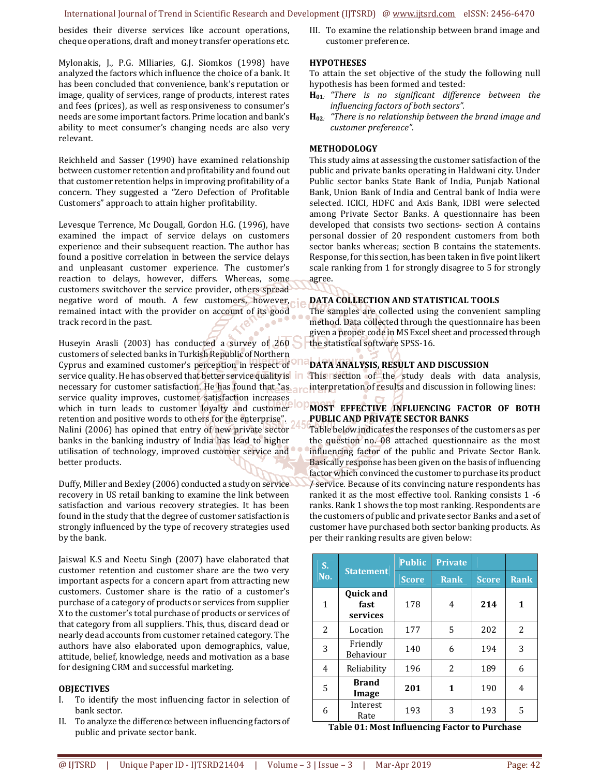#### International Journal of Trend in Scientific Research and Development (IJTSRD) @ www.ijtsrd.com eISSN: 2456-6470

besides their diverse services like account operations, cheque operations, draft and money transfer operations etc.

Mylonakis, J., P.G. Mlliaries, G.J. Siomkos (1998) have analyzed the factors which influence the choice of a bank. It has been concluded that convenience, bank's reputation or image, quality of services, range of products, interest rates and fees (prices), as well as responsiveness to consumer's needs are some important factors. Prime location and bank's ability to meet consumer's changing needs are also very relevant.

Reichheld and Sasser (1990) have examined relationship between customer retention and profitability and found out that customer retention helps in improving profitability of a concern. They suggested a "Zero Defection of Profitable Customers" approach to attain higher profitability.

Levesque Terrence, Mc Dougall, Gordon H.G. (1996), have examined the impact of service delays on customers experience and their subsequent reaction. The author has found a positive correlation in between the service delays and unpleasant customer experience. The customer's reaction to delays, however, differs. Whereas, some customers switchover the service provider, others spread negative word of mouth. A few customers, however, remained intact with the provider on account of its good track record in the past.

Huseyin Arasli (2003) has conducted a survey of 260 customers of selected banks in Turkish Republic of Northern Cyprus and examined customer's perception in respect of service quality. He has observed that better service quality is in necessary for customer satisfaction. He has found that "as service quality improves, customer satisfaction increases which in turn leads to customer loyalty and customer retention and positive words to others for the enterprise". Nalini (2006) has opined that entry of new private sector banks in the banking industry of India has lead to higher utilisation of technology, improved customer service and better products.

Duffy, Miller and Bexley (2006) conducted a study on service recovery in US retail banking to examine the link between satisfaction and various recovery strategies. It has been found in the study that the degree of customer satisfaction is strongly influenced by the type of recovery strategies used by the bank.

Jaiswal K.S and Neetu Singh (2007) have elaborated that customer retention and customer share are the two very important aspects for a concern apart from attracting new customers. Customer share is the ratio of a customer's purchase of a category of products or services from supplier X to the customer's total purchase of products or services of that category from all suppliers. This, thus, discard dead or nearly dead accounts from customer retained category. The authors have also elaborated upon demographics, value, attitude, belief, knowledge, needs and motivation as a base for designing CRM and successful marketing.

#### **OBJECTIVES**

- I. To identify the most influencing factor in selection of bank sector.
- II. To analyze the difference between influencing factors of public and private sector bank.

III. To examine the relationship between brand image and customer preference.

### **HYPOTHESES**

To attain the set objective of the study the following null hypothesis has been formed and tested:

- **H01***: "There is no significant difference between the influencing factors of both sectors".*
- **H02***: "There is no relationship between the brand image and customer preference".*

#### **METHODOLOGY**

This study aims at assessing the customer satisfaction of the public and private banks operating in Haldwani city. Under Public sector banks State Bank of India, Punjab National Bank, Union Bank of India and Central bank of India were selected. ICICI, HDFC and Axis Bank, IDBI were selected among Private Sector Banks. A questionnaire has been developed that consists two sections- section A contains personal dossier of 20 respondent customers from both sector banks whereas; section B contains the statements. Response, for this section, has been taken in five point likert scale ranking from 1 for strongly disagree to 5 for strongly agree.

#### **DATA COLLECTION AND STATISTICAL TOOLS**

The samples are collected using the convenient sampling method. Data collected through the questionnaire has been given a proper code in MS Excel sheet and processed through the statistical software SPSS-16.

#### **DATA ANALYSIS, RESULT AND DISCUSSION**

This section of the study deals with data analysis, interpretation of results and discussion in following lines:

## **MOST EFFECTIVE INFLUENCING FACTOR OF BOTH PUBLIC AND PRIVATE SECTOR BANKS**

Table below indicates the responses of the customers as per the question no. 08 attached questionnaire as the most influencing factor of the public and Private Sector Bank. Basically response has been given on the basis of influencing factor which convinced the customer to purchase its product / service. Because of its convincing nature respondents has ranked it as the most effective tool. Ranking consists 1 -6 ranks. Rank 1 shows the top most ranking. Respondents are the customers of public and private sector Banks and a set of customer have purchased both sector banking products. As per their ranking results are given below:

| S.  | <b>Statement</b>                     | <b>Public</b> | <b>Private</b> |              |             |
|-----|--------------------------------------|---------------|----------------|--------------|-------------|
| No. |                                      | <b>Score</b>  | <b>Rank</b>    | <b>Score</b> | <b>Rank</b> |
| 1   | <b>Quick and</b><br>fast<br>services | 178           | 4              | 214          | 1           |
| 2   | Location                             | 177           | 5              | 202          | 2           |
| 3   | Friendly<br>Behaviour                | 140           | 6              | 194          | 3           |
| 4   | Reliability                          | 196           | 2              | 189          | 6           |
| 5   | <b>Brand</b><br>Image                | 201           | 1              | 190          | 4           |
| 6   | Interest<br>Rate                     | 193           | 3              | 193          | 5           |

**Table 01: Most Influencing Factor to Purchase**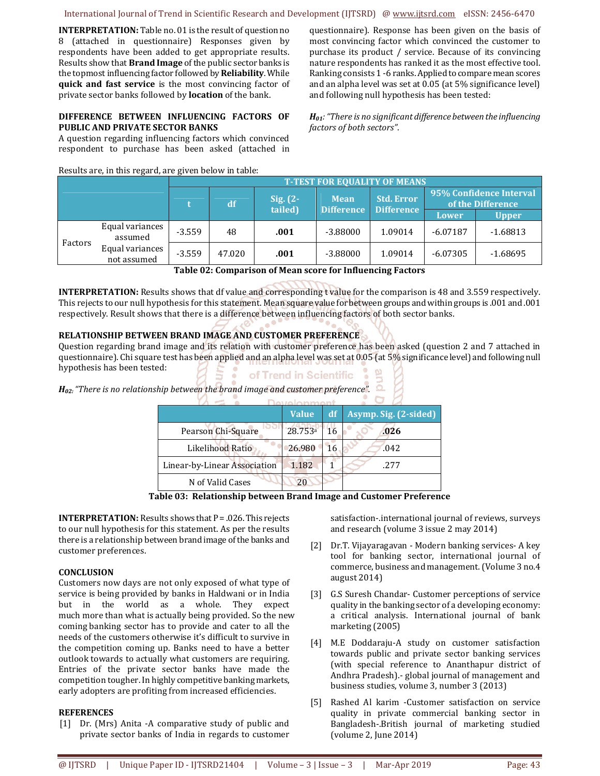International Journal of Trend in Scientific Research and Development (IJTSRD) @ www.ijtsrd.com eISSN: 2456-6470

**INTERPRETATION:** Table no. 01 is the result of question no 8 (attached in questionnaire) Responses given by respondents have been added to get appropriate results. Results show that **Brand Image** of the public sector banks is the topmost influencing factor followed by **Reliability**. While **quick and fast service** is the most convincing factor of private sector banks followed by **location** of the bank.

## **DIFFERENCE BETWEEN INFLUENCING FACTORS OF PUBLIC AND PRIVATE SECTOR BANKS**

A question regarding influencing factors which convinced respondent to purchase has been asked (attached in

Results are, in this regard, are given below in table:

questionnaire). Response has been given on the basis of most convincing factor which convinced the customer to purchase its product / service. Because of its convincing nature respondents has ranked it as the most effective tool. Ranking consists 1 -6 ranks. Applied to compare mean scores and an alpha level was set at 0.05 (at 5% significance level) and following null hypothesis has been tested:

*H01:"There is no significant difference between the influencing factors of both sectors"*.

|         |                                                              | <b>T-TEST FOR EOUALITY OF MEANS</b> |        |                        |                                  |                                        |                                              |              |
|---------|--------------------------------------------------------------|-------------------------------------|--------|------------------------|----------------------------------|----------------------------------------|----------------------------------------------|--------------|
|         |                                                              |                                     | df     | Sig. $(2 -$<br>tailed) | <b>Mean</b><br><b>Difference</b> | <b>Std. Error</b><br><b>Difference</b> | 95% Confidence Interval<br>of the Difference |              |
|         |                                                              |                                     |        |                        |                                  |                                        | Lower                                        | <b>Upper</b> |
| Factors | Equal variances<br>assumed<br>Equal variances<br>not assumed | $-3.559$                            | 48     | .001                   | $-3.88000$                       | 1.09014                                | $-6.07187$                                   | $-1.68813$   |
|         |                                                              | $-3.559$                            | 47.020 | .001                   | $-3.88000$                       | 1.09014                                | $-6.07305$                                   | $-1.68695$   |

**Table 02: Comparison of Mean score for Influencing Factors** 

**INTERPRETATION:** Results shows that df value and corresponding t value for the comparison is 48 and 3.559 respectively. This rejects to our null hypothesis for this statement. Mean square value for between groups and within groups is .001 and .001 respectively. Result shows that there is a difference between influencing factors of both sector banks.

# **RELATIONSHIP BETWEEN BRAND IMAGE AND CUSTOMER PREFERENCE**

Question regarding brand image and its relation with customer preference has been asked (question 2 and 7 attached in questionnaire). Chi square test has been applied and an alpha level was set at 0.05 (at 5% significance level) and following null hypothesis has been tested:

| of Trend in Scientific • 및 |  |  |  |
|----------------------------|--|--|--|
|                            |  |  |  |
|                            |  |  |  |

*H*<sub>02:</sub> "There is no relationship between the brand image and customer preference".  $\Omega$ 

|                              | <b>Value</b>        | df | Asymp. Sig. (2-sided) |  |  |  |  |
|------------------------------|---------------------|----|-----------------------|--|--|--|--|
| Pearson Chi-Square           | 28.753 <sup>a</sup> | 16 | .026                  |  |  |  |  |
| Likelihood Ratio             | 26.980              | 16 | .042                  |  |  |  |  |
| Linear-by-Linear Association | 1.182               |    | .277                  |  |  |  |  |
| N of Valid Cases             | 20                  |    |                       |  |  |  |  |

**Table 03: Relationship between Brand Image and Customer Preference** 

**INTERPRETATION:** Results shows that P = .026. This rejects to our null hypothesis for this statement. As per the results there is a relationship between brand image of the banks and customer preferences.

## **CONCLUSION**

Customers now days are not only exposed of what type of service is being provided by banks in Haldwani or in India but in the world as a whole. They expect much more than what is actually being provided. So the new coming banking sector has to provide and cater to all the needs of the customers otherwise it's difficult to survive in the competition coming up. Banks need to have a better outlook towards to actually what customers are requiring. Entries of the private sector banks have made the competition tougher. In highly competitive banking markets, early adopters are profiting from increased efficiencies.

## **REFERENCES**

[1] Dr. (Mrs) Anita -A comparative study of public and private sector banks of India in regards to customer satisfaction-.international journal of reviews, surveys and research (volume 3 issue 2 may 2014)

- [2] Dr.T. Vijayaragavan Modern banking services- A key tool for banking sector, international journal of commerce, business and management. (Volume 3 no.4 august 2014)
- [3] G.S Suresh Chandar- Customer perceptions of service quality in the banking sector of a developing economy: a critical analysis. International journal of bank marketing (2005)
- [4] M.E Doddaraju-A study on customer satisfaction towards public and private sector banking services (with special reference to Ananthapur district of Andhra Pradesh).- global journal of management and business studies, volume 3, number 3 (2013)
- [5] Rashed Al karim -Customer satisfaction on service quality in private commercial banking sector in Bangladesh-.British journal of marketing studied (volume 2, June 2014)